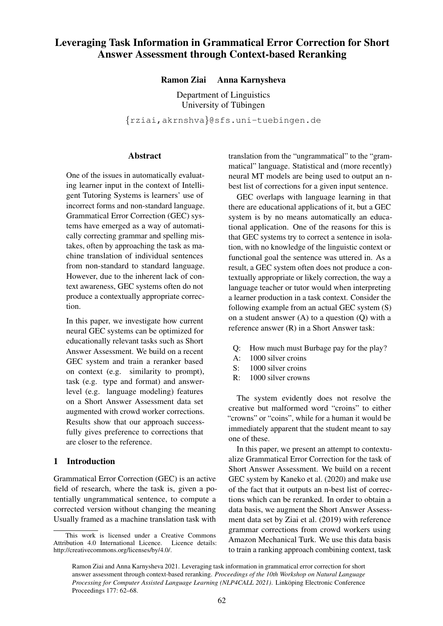# Leveraging Task Information in Grammatical Error Correction for Short Answer Assessment through Context-based Reranking

## Ramon Ziai Anna Karnysheva

Department of Linguistics University of Tübingen

{rziai,akrnshva}@sfs.uni-tuebingen.de

#### Abstract

One of the issues in automatically evaluating learner input in the context of Intelligent Tutoring Systems is learners' use of incorrect forms and non-standard language. Grammatical Error Correction (GEC) systems have emerged as a way of automatically correcting grammar and spelling mistakes, often by approaching the task as machine translation of individual sentences from non-standard to standard language. However, due to the inherent lack of context awareness, GEC systems often do not produce a contextually appropriate correction.

In this paper, we investigate how current neural GEC systems can be optimized for educationally relevant tasks such as Short Answer Assessment. We build on a recent GEC system and train a reranker based on context (e.g. similarity to prompt), task (e.g. type and format) and answerlevel (e.g. language modeling) features on a Short Answer Assessment data set augmented with crowd worker corrections. Results show that our approach successfully gives preference to corrections that are closer to the reference.

## 1 Introduction

Grammatical Error Correction (GEC) is an active field of research, where the task is, given a potentially ungrammatical sentence, to compute a corrected version without changing the meaning Usually framed as a machine translation task with

translation from the "ungrammatical" to the "grammatical" language. Statistical and (more recently) neural MT models are being used to output an nbest list of corrections for a given input sentence.

GEC overlaps with language learning in that there are educational applications of it, but a GEC system is by no means automatically an educational application. One of the reasons for this is that GEC systems try to correct a sentence in isolation, with no knowledge of the linguistic context or functional goal the sentence was uttered in. As a result, a GEC system often does not produce a contextually appropriate or likely correction, the way a language teacher or tutor would when interpreting a learner production in a task context. Consider the following example from an actual GEC system (S) on a student answer  $(A)$  to a question  $(Q)$  with a reference answer (R) in a Short Answer task:

- Q: How much must Burbage pay for the play?
- A: 1000 silver croins
- S: 1000 silver croins
- R: 1000 silver crowns

The system evidently does not resolve the creative but malformed word "croins" to either "crowns" or "coins", while for a human it would be immediately apparent that the student meant to say one of these.

In this paper, we present an attempt to contextualize Grammatical Error Correction for the task of Short Answer Assessment. We build on a recent GEC system by Kaneko et al. (2020) and make use of the fact that it outputs an n-best list of corrections which can be reranked. In order to obtain a data basis, we augment the Short Answer Assessment data set by Ziai et al. (2019) with reference grammar corrections from crowd workers using Amazon Mechanical Turk. We use this data basis to train a ranking approach combining context, task

This work is licensed under a Creative Commons Attribution 4.0 International Licence. Licence details: http://creativecommons.org/licenses/by/4.0/.

Ramon Ziai and Anna Karnysheva 2021. Leveraging task information in grammatical error correction for short answer assessment through context-based reranking. *Proceedings of the 10th Workshop on Natural Language Processing for Computer Assisted Language Learning (NLP4CALL 2021)*. Linköping Electronic Conference Proceedings 177: 62–68.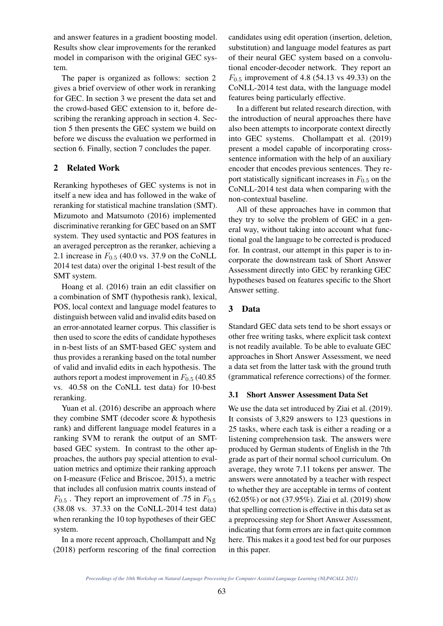and answer features in a gradient boosting model. Results show clear improvements for the reranked model in comparison with the original GEC system.

The paper is organized as follows: section 2 gives a brief overview of other work in reranking for GEC. In section 3 we present the data set and the crowd-based GEC extension to it, before describing the reranking approach in section 4. Section 5 then presents the GEC system we build on before we discuss the evaluation we performed in section 6. Finally, section 7 concludes the paper.

## 2 Related Work

Reranking hypotheses of GEC systems is not in itself a new idea and has followed in the wake of reranking for statistical machine translation (SMT). Mizumoto and Matsumoto (2016) implemented discriminative reranking for GEC based on an SMT system. They used syntactic and POS features in an averaged perceptron as the reranker, achieving a 2.1 increase in  $F_{0.5}$  (40.0 vs. 37.9 on the CoNLL 2014 test data) over the original 1-best result of the SMT system.

Hoang et al. (2016) train an edit classifier on a combination of SMT (hypothesis rank), lexical, POS, local context and language model features to distinguish between valid and invalid edits based on an error-annotated learner corpus. This classifier is then used to score the edits of candidate hypotheses in n-best lists of an SMT-based GEC system and thus provides a reranking based on the total number of valid and invalid edits in each hypothesis. The authors report a modest improvement in  $F_{0.5}$  (40.85) vs. 40.58 on the CoNLL test data) for 10-best reranking.

Yuan et al. (2016) describe an approach where they combine SMT (decoder score & hypothesis rank) and different language model features in a ranking SVM to rerank the output of an SMTbased GEC system. In contrast to the other approaches, the authors pay special attention to evaluation metrics and optimize their ranking approach on I-measure (Felice and Briscoe, 2015), a metric that includes all confusion matrix counts instead of  $F_{0.5}$ . They report an improvement of .75 in  $F_{0.5}$ (38.08 vs. 37.33 on the CoNLL-2014 test data) when reranking the 10 top hypotheses of their GEC system.

In a more recent approach, Chollampatt and Ng (2018) perform rescoring of the final correction

candidates using edit operation (insertion, deletion, substitution) and language model features as part of their neural GEC system based on a convolutional encoder-decoder network. They report an  $F_{0.5}$  improvement of 4.8 (54.13 vs 49.33) on the CoNLL-2014 test data, with the language model features being particularly effective.

In a different but related research direction, with the introduction of neural approaches there have also been attempts to incorporate context directly into GEC systems. Chollampatt et al. (2019) present a model capable of incorporating crosssentence information with the help of an auxiliary encoder that encodes previous sentences. They report statistically significant increases in  $F_{0.5}$  on the CoNLL-2014 test data when comparing with the non-contextual baseline.

All of these approaches have in common that they try to solve the problem of GEC in a general way, without taking into account what functional goal the language to be corrected is produced for. In contrast, our attempt in this paper is to incorporate the downstream task of Short Answer Assessment directly into GEC by reranking GEC hypotheses based on features specific to the Short Answer setting.

## 3 Data

Standard GEC data sets tend to be short essays or other free writing tasks, where explicit task context is not readily available. To be able to evaluate GEC approaches in Short Answer Assessment, we need a data set from the latter task with the ground truth (grammatical reference corrections) of the former.

## 3.1 Short Answer Assessment Data Set

We use the data set introduced by Ziai et al. (2019). It consists of 3,829 answers to 123 questions in 25 tasks, where each task is either a reading or a listening comprehension task. The answers were produced by German students of English in the 7th grade as part of their normal school curriculum. On average, they wrote 7.11 tokens per answer. The answers were annotated by a teacher with respect to whether they are acceptable in terms of content (62.05%) or not (37.95%). Ziai et al. (2019) show that spelling correction is effective in this data set as a preprocessing step for Short Answer Assessment, indicating that form errors are in fact quite common here. This makes it a good test bed for our purposes in this paper.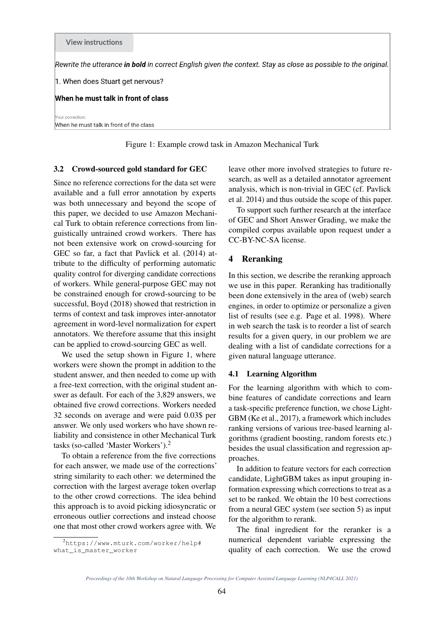Rewrite the utterance in bold in correct English given the context. Stay as close as possible to the original.

1. When does Stuart get nervous?

#### When he must talk in front of class

Your correction:

When he must talk in front of the class

Figure 1: Example crowd task in Amazon Mechanical Turk

#### 3.2 Crowd-sourced gold standard for GEC

Since no reference corrections for the data set were available and a full error annotation by experts was both unnecessary and beyond the scope of this paper, we decided to use Amazon Mechanical Turk to obtain reference corrections from linguistically untrained crowd workers. There has not been extensive work on crowd-sourcing for GEC so far, a fact that Pavlick et al. (2014) attribute to the difficulty of performing automatic quality control for diverging candidate corrections of workers. While general-purpose GEC may not be constrained enough for crowd-sourcing to be successful, Boyd (2018) showed that restriction in terms of context and task improves inter-annotator agreement in word-level normalization for expert annotators. We therefore assume that this insight can be applied to crowd-sourcing GEC as well.

We used the setup shown in Figure 1, where workers were shown the prompt in addition to the student answer, and then needed to come up with a free-text correction, with the original student answer as default. For each of the 3,829 answers, we obtained five crowd corrections. Workers needed 32 seconds on average and were paid 0.03\$ per answer. We only used workers who have shown reliability and consistence in other Mechanical Turk tasks (so-called 'Master Workers').<sup>2</sup>

To obtain a reference from the five corrections for each answer, we made use of the corrections' string similarity to each other: we determined the correction with the largest average token overlap to the other crowd corrections. The idea behind this approach is to avoid picking idiosyncratic or erroneous outlier corrections and instead choose one that most other crowd workers agree with. We

<sup>2</sup>https://www.mturk.com/worker/help# what\_is\_master\_worker

leave other more involved strategies to future research, as well as a detailed annotator agreement analysis, which is non-trivial in GEC (cf. Pavlick et al. 2014) and thus outside the scope of this paper.

To support such further research at the interface of GEC and Short Answer Grading, we make the compiled corpus available upon request under a CC-BY-NC-SA license.

## 4 Reranking

In this section, we describe the reranking approach we use in this paper. Reranking has traditionally been done extensively in the area of (web) search engines, in order to optimize or personalize a given list of results (see e.g. Page et al. 1998). Where in web search the task is to reorder a list of search results for a given query, in our problem we are dealing with a list of candidate corrections for a given natural language utterance.

#### 4.1 Learning Algorithm

For the learning algorithm with which to combine features of candidate corrections and learn a task-specific preference function, we chose Light-GBM (Ke et al., 2017), a framework which includes ranking versions of various tree-based learning algorithms (gradient boosting, random forests etc.) besides the usual classification and regression approaches.

In addition to feature vectors for each correction candidate, LightGBM takes as input grouping information expressing which corrections to treat as a set to be ranked. We obtain the 10 best corrections from a neural GEC system (see section 5) as input for the algorithm to rerank.

The final ingredient for the reranker is a numerical dependent variable expressing the quality of each correction. We use the crowd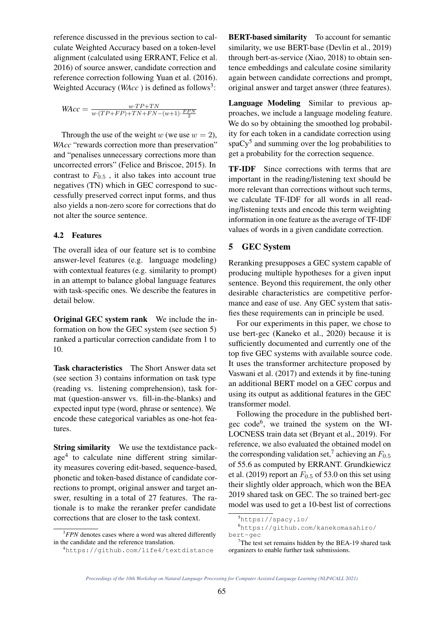reference discussed in the previous section to calculate Weighted Accuracy based on a token-level alignment (calculated using ERRANT, Felice et al. 2016) of source answer, candidate correction and reference correction following Yuan et al. (2016). Weighted Accuracy ( $WAcc$ ) is defined as follows<sup>3</sup>:

$$
\textit{WAcc} = \frac{w \cdot TP + TN}{w \cdot (TP + FP) + TN + FN - (w+1) \cdot \frac{FPN}{2}}
$$

Through the use of the weight w (we use  $w = 2$ ), *WAcc* "rewards correction more than preservation" and "penalises unnecessary corrections more than uncorrected errors" (Felice and Briscoe, 2015). In contrast to  $F_{0.5}$ , it also takes into account true negatives (TN) which in GEC correspond to successfully preserved correct input forms, and thus also yields a non-zero score for corrections that do not alter the source sentence.

#### 4.2 Features

The overall idea of our feature set is to combine answer-level features (e.g. language modeling) with contextual features (e.g. similarity to prompt) in an attempt to balance global language features with task-specific ones. We describe the features in detail below.

Original GEC system rank We include the information on how the GEC system (see section 5) ranked a particular correction candidate from 1 to 10.

Task characteristics The Short Answer data set (see section 3) contains information on task type (reading vs. listening comprehension), task format (question-answer vs. fill-in-the-blanks) and expected input type (word, phrase or sentence). We encode these categorical variables as one-hot features.

String similarity We use the textdistance package<sup>4</sup> to calculate nine different string similarity measures covering edit-based, sequence-based, phonetic and token-based distance of candidate corrections to prompt, original answer and target answer, resulting in a total of 27 features. The rationale is to make the reranker prefer candidate corrections that are closer to the task context.

BERT-based similarity To account for semantic similarity, we use BERT-base (Devlin et al., 2019) through bert-as-service (Xiao, 2018) to obtain sentence embeddings and calculate cosine similarity again between candidate corrections and prompt, original answer and target answer (three features).

Language Modeling Similar to previous approaches, we include a language modeling feature. We do so by obtaining the smoothed log probability for each token in a candidate correction using  $spaCy<sup>5</sup>$  and summing over the log probabilities to get a probability for the correction sequence.

TF-IDF Since corrections with terms that are important in the reading/listening text should be more relevant than corrections without such terms, we calculate TF-IDF for all words in all reading/listening texts and encode this term weighting information in one feature as the average of TF-IDF values of words in a given candidate correction.

## 5 GEC System

Reranking presupposes a GEC system capable of producing multiple hypotheses for a given input sentence. Beyond this requirement, the only other desirable characteristics are competitive performance and ease of use. Any GEC system that satisfies these requirements can in principle be used.

For our experiments in this paper, we chose to use bert-gec (Kaneko et al., 2020) because it is sufficiently documented and currently one of the top five GEC systems with available source code. It uses the transformer architecture proposed by Vaswani et al. (2017) and extends it by fine-tuning an additional BERT model on a GEC corpus and using its output as additional features in the GEC transformer model.

Following the procedure in the published bertgec code<sup>6</sup> , we trained the system on the WI-LOCNESS train data set (Bryant et al., 2019). For reference, we also evaluated the obtained model on the corresponding validation set,<sup>7</sup> achieving an  $F_{0.5}$ of 55.6 as computed by ERRANT. Grundkiewicz et al. (2019) report an  $F_{0.5}$  of 53.0 on this set using their slightly older approach, which won the BEA 2019 shared task on GEC. The so trained bert-gec model was used to get a 10-best list of corrections

<sup>&</sup>lt;sup>3</sup>*FPN* denotes cases where a word was altered differently in the candidate and the reference translation.

<sup>4</sup>https://github.com/life4/textdistance

<sup>5</sup>https://spacy.io/

<sup>6</sup>https://github.com/kanekomasahiro/ bert-gec

 $7$ The test set remains hidden by the BEA-19 shared task organizers to enable further task submissions.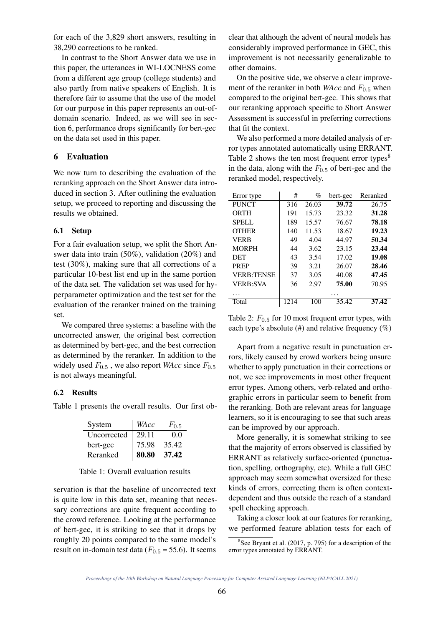for each of the 3,829 short answers, resulting in 38,290 corrections to be ranked.

In contrast to the Short Answer data we use in this paper, the utterances in WI-LOCNESS come from a different age group (college students) and also partly from native speakers of English. It is therefore fair to assume that the use of the model for our purpose in this paper represents an out-ofdomain scenario. Indeed, as we will see in section 6, performance drops significantly for bert-gec on the data set used in this paper.

## 6 Evaluation

We now turn to describing the evaluation of the reranking approach on the Short Answer data introduced in section 3. After outlining the evaluation setup, we proceed to reporting and discussing the results we obtained.

#### 6.1 Setup

For a fair evaluation setup, we split the Short Answer data into train (50%), validation (20%) and test (30%), making sure that all corrections of a particular 10-best list end up in the same portion of the data set. The validation set was used for hyperparameter optimization and the test set for the evaluation of the reranker trained on the training set.

We compared three systems: a baseline with the uncorrected answer, the original best correction as determined by bert-gec, and the best correction as determined by the reranker. In addition to the widely used  $F_{0.5}$ , we also report *WAcc* since  $F_{0.5}$ is not always meaningful.

## 6.2 Results

Table 1 presents the overall results. Our first ob-

| System      | WAcc  | $F_{0.5}$ |
|-------------|-------|-----------|
| Uncorrected | 29.11 | 0.0       |
| bert-gec    | 75.98 | 35.42     |
| Reranked    | 80.80 | 37.42     |

#### Table 1: Overall evaluation results

servation is that the baseline of uncorrected text is quite low in this data set, meaning that necessary corrections are quite frequent according to the crowd reference. Looking at the performance of bert-gec, it is striking to see that it drops by roughly 20 points compared to the same model's result on in-domain test data ( $F_{0.5}$  = 55.6). It seems

clear that although the advent of neural models has considerably improved performance in GEC, this improvement is not necessarily generalizable to other domains.

On the positive side, we observe a clear improvement of the reranker in both *WAcc* and  $F_{0.5}$  when compared to the original bert-gec. This shows that our reranking approach specific to Short Answer Assessment is successful in preferring corrections that fit the context.

We also performed a more detailed analysis of error types annotated automatically using ERRANT. Table 2 shows the ten most frequent error types $8$ in the data, along with the  $F_{0.5}$  of bert-gec and the reranked model, respectively.

| Error type        | #    | %     | bert-gec | Reranked |
|-------------------|------|-------|----------|----------|
| <b>PUNCT</b>      | 316  | 26.03 | 39.72    | 26.75    |
| ORTH              | 191  | 15.73 | 23.32    | 31.28    |
| SPELL             | 189  | 15.57 | 76.67    | 78.18    |
| <b>OTHER</b>      | 140  | 11.53 | 18.67    | 19.23    |
| <b>VERB</b>       | 49   | 4.04  | 44.97    | 50.34    |
| <b>MORPH</b>      | 44   | 3.62  | 23.15    | 23.44    |
| <b>DET</b>        | 43   | 3.54  | 17.02    | 19.08    |
| <b>PREP</b>       | 39   | 3.21  | 26.07    | 28.46    |
| <b>VERB:TENSE</b> | 37   | 3.05  | 40.08    | 47.45    |
| <b>VERB:SVA</b>   | 36   | 2.97  | 75.00    | 70.95    |
|                   |      |       |          |          |
| Total             | 1214 | 100   | 35.42    | 37.42    |

Table 2:  $F_{0.5}$  for 10 most frequent error types, with each type's absolute  $(\#)$  and relative frequency  $(\%)$ 

Apart from a negative result in punctuation errors, likely caused by crowd workers being unsure whether to apply punctuation in their corrections or not, we see improvements in most other frequent error types. Among others, verb-related and orthographic errors in particular seem to benefit from the reranking. Both are relevant areas for language learners, so it is encouraging to see that such areas can be improved by our approach.

More generally, it is somewhat striking to see that the majority of errors observed is classified by ERRANT as relatively surface-oriented (punctuation, spelling, orthography, etc). While a full GEC approach may seem somewhat oversized for these kinds of errors, correcting them is often contextdependent and thus outside the reach of a standard spell checking approach.

Taking a closer look at our features for reranking, we performed feature ablation tests for each of

<sup>8</sup> See Bryant et al. (2017, p. 795) for a description of the error types annotated by ERRANT.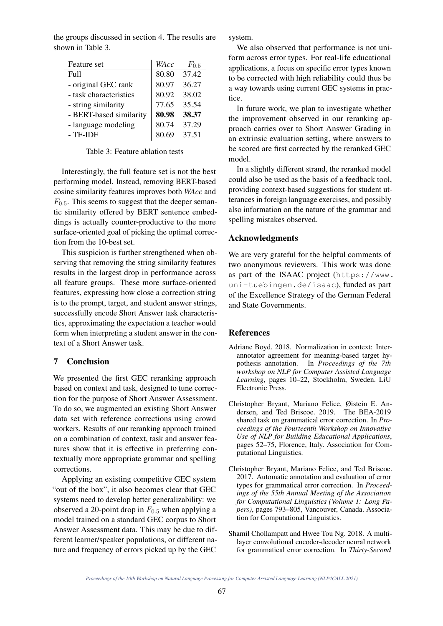the groups discussed in section 4. The results are shown in Table 3.

| Feature set             | WAcc  | $F_{0.5}$ |
|-------------------------|-------|-----------|
| Full                    | 80.80 | 37.42     |
| - original GEC rank     | 80.97 | 36.27     |
| - task characteristics  | 80.92 | 38.02     |
| - string similarity     | 77.65 | 35.54     |
| - BERT-based similarity | 80.98 | 38.37     |
| - language modeling     | 80.74 | 37.29     |
| - TF-IDF                | 80.69 | 37.51     |

Table 3: Feature ablation tests

Interestingly, the full feature set is not the best performing model. Instead, removing BERT-based cosine similarity features improves both *WAcc* and  $F<sub>0.5</sub>$ . This seems to suggest that the deeper semantic similarity offered by BERT sentence embeddings is actually counter-productive to the more surface-oriented goal of picking the optimal correction from the 10-best set.

This suspicion is further strengthened when observing that removing the string similarity features results in the largest drop in performance across all feature groups. These more surface-oriented features, expressing how close a correction string is to the prompt, target, and student answer strings, successfully encode Short Answer task characteristics, approximating the expectation a teacher would form when interpreting a student answer in the context of a Short Answer task.

#### 7 Conclusion

We presented the first GEC reranking approach based on context and task, designed to tune correction for the purpose of Short Answer Assessment. To do so, we augmented an existing Short Answer data set with reference corrections using crowd workers. Results of our reranking approach trained on a combination of context, task and answer features show that it is effective in preferring contextually more appropriate grammar and spelling corrections.

Applying an existing competitive GEC system "out of the box", it also becomes clear that GEC systems need to develop better generalizability: we observed a 20-point drop in  $F_{0.5}$  when applying a model trained on a standard GEC corpus to Short Answer Assessment data. This may be due to different learner/speaker populations, or different nature and frequency of errors picked up by the GEC

system.

We also observed that performance is not uniform across error types. For real-life educational applications, a focus on specific error types known to be corrected with high reliability could thus be a way towards using current GEC systems in practice.

In future work, we plan to investigate whether the improvement observed in our reranking approach carries over to Short Answer Grading in an extrinsic evaluation setting, where answers to be scored are first corrected by the reranked GEC model.

In a slightly different strand, the reranked model could also be used as the basis of a feedback tool, providing context-based suggestions for student utterances in foreign language exercises, and possibly also information on the nature of the grammar and spelling mistakes observed.

#### Acknowledgments

We are very grateful for the helpful comments of two anonymous reviewers. This work was done as part of the ISAAC project (https://www. uni-tuebingen.de/isaac), funded as part of the Excellence Strategy of the German Federal and State Governments.

#### References

- Adriane Boyd. 2018. Normalization in context: Interannotator agreement for meaning-based target hypothesis annotation. In *Proceedings of the 7th workshop on NLP for Computer Assisted Language Learning*, pages 10–22, Stockholm, Sweden. LiU Electronic Press.
- Christopher Bryant, Mariano Felice, Øistein E. Andersen, and Ted Briscoe. 2019. The BEA-2019 shared task on grammatical error correction. In *Proceedings of the Fourteenth Workshop on Innovative Use of NLP for Building Educational Applications*, pages 52–75, Florence, Italy. Association for Computational Linguistics.
- Christopher Bryant, Mariano Felice, and Ted Briscoe. 2017. Automatic annotation and evaluation of error types for grammatical error correction. In *Proceedings of the 55th Annual Meeting of the Association for Computational Linguistics (Volume 1: Long Papers)*, pages 793–805, Vancouver, Canada. Association for Computational Linguistics.
- Shamil Chollampatt and Hwee Tou Ng. 2018. A multilayer convolutional encoder-decoder neural network for grammatical error correction. In *Thirty-Second*